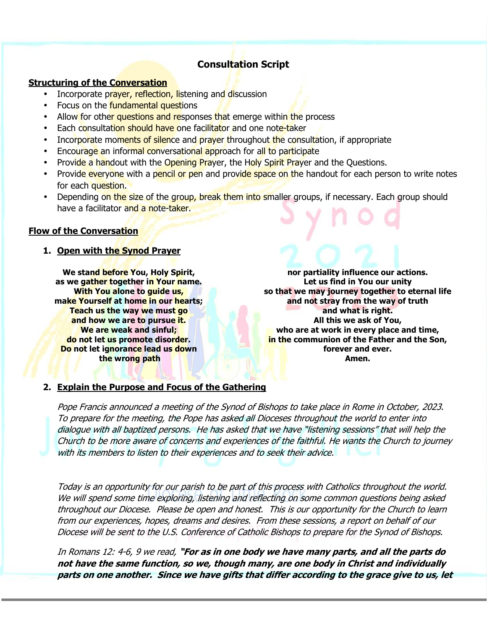# **Consultation Script**

## **Structuring of the Conversation**

- Incorporate prayer, reflection, listening and discussion
- Focus on the **fundamental questions**
- Allow for other questions and responses that emerge within the process
- Each consultation should have one facilitator and one note-taker
- Incorporate moments of silence and prayer throughout the consultation, if appropriate
- Encourage an informal conversational approach for all to participate
- Provide a handout with the Opening Prayer, the Holy Spirit Prayer and the Questions.
- Provide everyone with a pencil or pen and provide space on the handout for each person to write notes for each question.
- Depending on the size of the group, break them into smaller groups, if necessary. Each group should have a facilitator and a note-taker.

### **Flow of the Conversation**

### **1. Open with the Synod Prayer**

**We stand before You, Holy Spirit, as we gather together in Your name. With You alone to guide us, make Yourself at home in our hearts; Teach us the way we must go and how we are to pursue it. We are weak and sinful; do not let us promote disorder. Do not let ignorance lead us down the wrong path**

**nor partiality influence our actions. Let us find in You our unity so that we may journey together to eternal life and not stray from the way of truth and what is right. All this we ask of You, who are at work in every place and time, in the communion of the Father and the Son, forever and ever. Amen.**

#### **2. Explain the Purpose and Focus of the Gathering**

Pope Francis announced a meeting of the Synod of Bishops to take place in Rome in October, 2023. To prepare for the meeting, the Pope has asked all Dioceses throughout the world to enter into dialogue with all baptized persons. He has asked that we have "listening sessions" that will help the Church to be more aware of concerns and experiences of the faithful. He wants the Church to journey with its members to listen to their experiences and to seek their advice.

Today is an opportunity for our parish to be part of this process with Catholics throughout the world. We will spend some time exploring, listening and reflecting on some common questions being asked throughout our Diocese. Please be open and honest. This is our opportunity for the Church to learn from our experiences, hopes, dreams and desires. From these sessions, a report on behalf of our Diocese will be sent to the U.S. Conference of Catholic Bishops to prepare for the Synod of Bishops.

In Romans 12: 4-6, 9 we read, **"For as in one body we have many parts, and all the parts do not have the same function, so we, though many, are one body in Christ and individually parts on one another. Since we have gifts that differ according to the grace give to us, let**